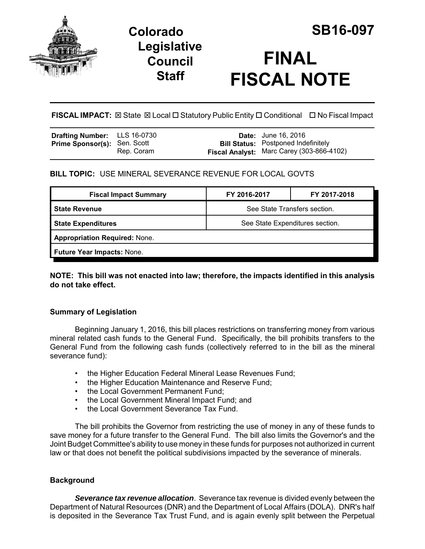

## **Legislative Council Staff**



# **FINAL FISCAL NOTE**

**FISCAL IMPACT:** ⊠ State ⊠ Local □ Statutory Public Entity □ Conditional □ No Fiscal Impact

| <b>Drafting Number:</b> LLS 16-0730 |            | <b>Date:</b> June 16, 2016                                                              |
|-------------------------------------|------------|-----------------------------------------------------------------------------------------|
| <b>Prime Sponsor(s): Sen. Scott</b> | Rep. Coram | <b>Bill Status:</b> Postponed Indefinitely<br>Fiscal Analyst: Marc Carey (303-866-4102) |

## **BILL TOPIC:** USE MINERAL SEVERANCE REVENUE FOR LOCAL GOVTS

| <b>Fiscal Impact Summary</b>         | FY 2016-2017                    | FY 2017-2018 |  |  |
|--------------------------------------|---------------------------------|--------------|--|--|
| <b>State Revenue</b>                 | See State Transfers section.    |              |  |  |
| <b>State Expenditures</b>            | See State Expenditures section. |              |  |  |
| <b>Appropriation Required: None.</b> |                                 |              |  |  |
| <b>Future Year Impacts: None.</b>    |                                 |              |  |  |
|                                      |                                 |              |  |  |

**NOTE: This bill was not enacted into law; therefore, the impacts identified in this analysis do not take effect.**

## **Summary of Legislation**

Beginning January 1, 2016, this bill places restrictions on transferring money from various mineral related cash funds to the General Fund. Specifically, the bill prohibits transfers to the General Fund from the following cash funds (collectively referred to in the bill as the mineral severance fund):

- the Higher Education Federal Mineral Lease Revenues Fund;
- the Higher Education Maintenance and Reserve Fund;
- the Local Government Permanent Fund;
- the Local Government Mineral Impact Fund; and
- the Local Government Severance Tax Fund.

The bill prohibits the Governor from restricting the use of money in any of these funds to save money for a future transfer to the General Fund. The bill also limits the Governor's and the Joint Budget Committee's ability to use money in these funds for purposes not authorized in current law or that does not benefit the political subdivisions impacted by the severance of minerals.

#### **Background**

*Severance tax revenue allocation*. Severance tax revenue is divided evenly between the Department of Natural Resources (DNR) and the Department of Local Affairs (DOLA). DNR's half is deposited in the Severance Tax Trust Fund, and is again evenly split between the Perpetual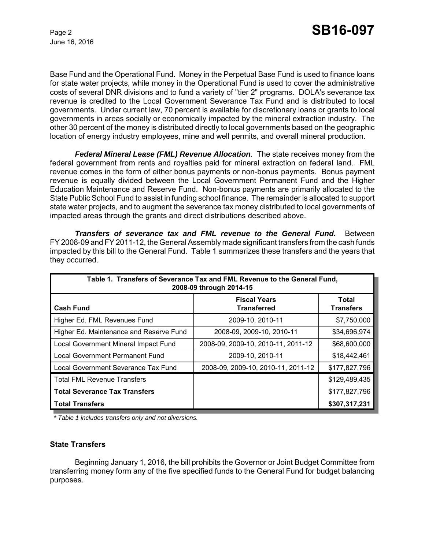June 16, 2016

Base Fund and the Operational Fund. Money in the Perpetual Base Fund is used to finance loans for state water projects, while money in the Operational Fund is used to cover the administrative costs of several DNR divisions and to fund a variety of "tier 2" programs. DOLA's severance tax revenue is credited to the Local Government Severance Tax Fund and is distributed to local governments. Under current law, 70 percent is available for discretionary loans or grants to local governments in areas socially or economically impacted by the mineral extraction industry. The other 30 percent of the money is distributed directly to local governments based on the geographic location of energy industry employees, mine and well permits, and overall mineral production.

*Federal Mineral Lease (FML) Revenue Allocation*. The state receives money from the federal government from rents and royalties paid for mineral extraction on federal land. FML revenue comes in the form of either bonus payments or non-bonus payments. Bonus payment revenue is equally divided between the Local Government Permanent Fund and the Higher Education Maintenance and Reserve Fund. Non-bonus payments are primarily allocated to the State Public School Fund to assist in funding school finance. The remainder is allocated to support state water projects, and to augment the severance tax money distributed to local governments of impacted areas through the grants and direct distributions described above.

*Transfers of severance tax and FML revenue to the General Fund.* Between FY 2008-09 and FY 2011-12, the General Assembly made significant transfers from the cash funds impacted by this bill to the General Fund. Table 1 summarizes these transfers and the years that they occurred.

| Table 1. Transfers of Severance Tax and FML Revenue to the General Fund,<br>2008-09 through 2014-15 |                                           |                           |  |  |  |
|-----------------------------------------------------------------------------------------------------|-------------------------------------------|---------------------------|--|--|--|
| <b>Cash Fund</b>                                                                                    | <b>Fiscal Years</b><br><b>Transferred</b> | Total<br><b>Transfers</b> |  |  |  |
| Higher Ed. FML Revenues Fund                                                                        | 2009-10, 2010-11                          | \$7,750,000               |  |  |  |
| Higher Ed. Maintenance and Reserve Fund                                                             | 2008-09, 2009-10, 2010-11                 | \$34,696,974              |  |  |  |
| Local Government Mineral Impact Fund                                                                | 2008-09, 2009-10, 2010-11, 2011-12        | \$68,600,000              |  |  |  |
| <b>Local Government Permanent Fund</b>                                                              | 2009-10, 2010-11                          | \$18,442,461              |  |  |  |
| Local Government Severance Tax Fund                                                                 | 2008-09, 2009-10, 2010-11, 2011-12        | \$177,827,796             |  |  |  |
| <b>Total FML Revenue Transfers</b>                                                                  |                                           | \$129,489,435             |  |  |  |
| <b>Total Severance Tax Transfers</b>                                                                |                                           | \$177,827,796             |  |  |  |
| l Total Transfers                                                                                   |                                           | \$307,317,231             |  |  |  |

*\* Table 1 includes transfers only and not diversions.*

#### **State Transfers**

Beginning January 1, 2016, the bill prohibits the Governor or Joint Budget Committee from transferring money form any of the five specified funds to the General Fund for budget balancing purposes.